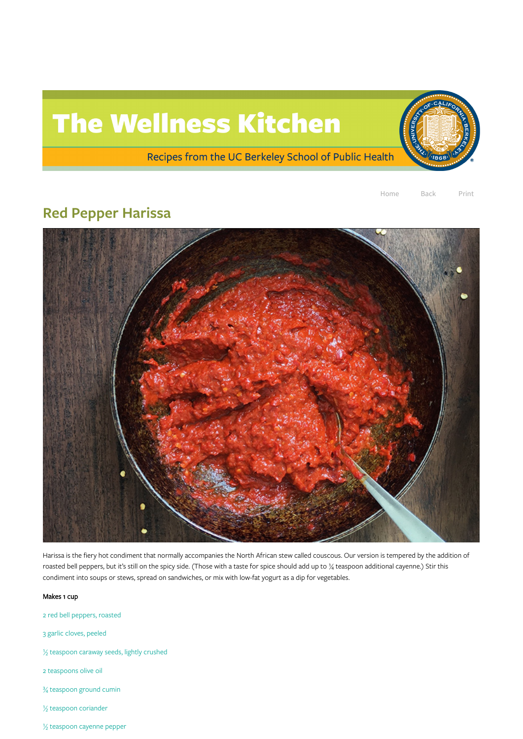## The Wellness Kitchen

Recipes from the UC Berkeley School of Public Health



## Red Pepper Harissa



Harissa is the fiery hot condiment that normally accompanies the North African stew called couscous. Our version is tempered by the addition of

roasted bell peppers, but it's still on the spicy side. (Those with a taste for spice should add up to 1/4 teaspoon additional cayenne.) Stir this condiment into soups or stews, spread on sandwiches, or mix with low-fat yogurt as a dip for vegetables.

## Makes 1 cup

2 red bell peppers, roasted

3 garlic cloves, peeled

½ teaspoon caraway seeds, lightly crushed

2 teaspoons olive oil

¾ teaspoon ground cumin

½ teaspoon coriander

½ teaspoon cayenne pepper